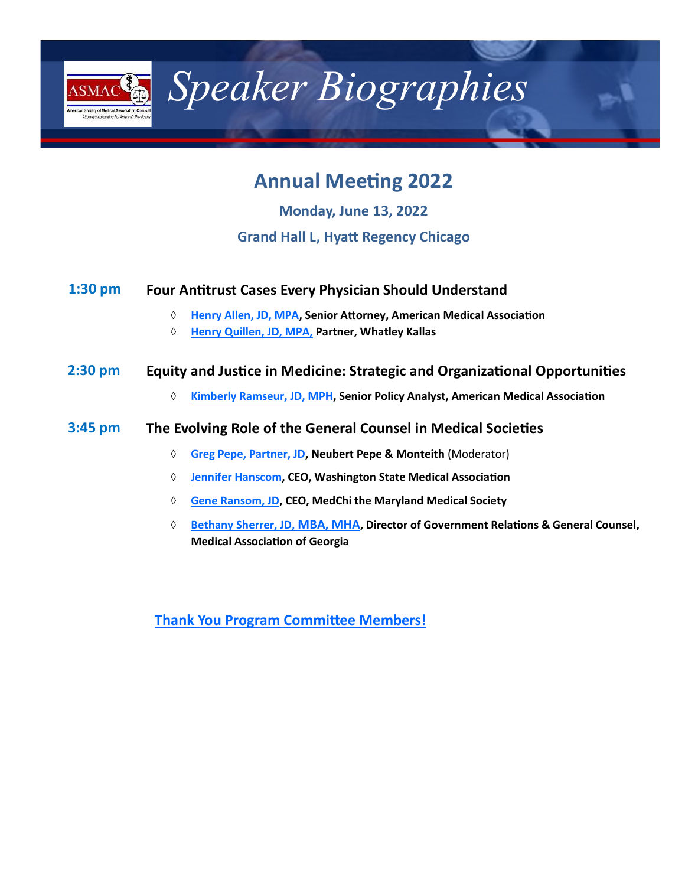<span id="page-0-0"></span>

*Speaker Biographies* 

# **Annual Meeting 2022**

**Monday, June 13, 2022**

# **Grand Hall L, Hyatt Regency Chicago**

#### **Four Antitrust Cases Every Physician Should Understand 1:30 pm**

- **[Henry Allen, JD, MPA,](#page-1-0) Senior Attorney, American Medical Association**
- **[Henry Quillen, JD, MPA,](#page-2-0) Partner, Whatley Kallas**

#### **Equity and Justice in Medicine: Strategic and Organizational Opportunities 2:30 pm**

**[Kimberly Ramseur, JD, MPH,](#page-2-0) Senior Policy Analyst, American Medical Association**

#### **The Evolving Role of the General Counsel in Medical Societies 3:45 pm**

- **[Greg Pepe, Partner, JD,](#page-3-0) Neubert Pepe & Monteith** (Moderator)
- **[Jennifer Hanscom,](#page-1-0) CEO, Washington State Medical Association**
- **[Gene Ransom, JD,](#page-4-0) CEO, MedChi the Maryland Medical Society**
- **[Bethany Sherrer, JD,](#page-4-0) MBA, MHA, Director of Government Relations & General Counsel, Medical Association of Georgia**

**[Thank You Program Committee Members!](#page-5-0)**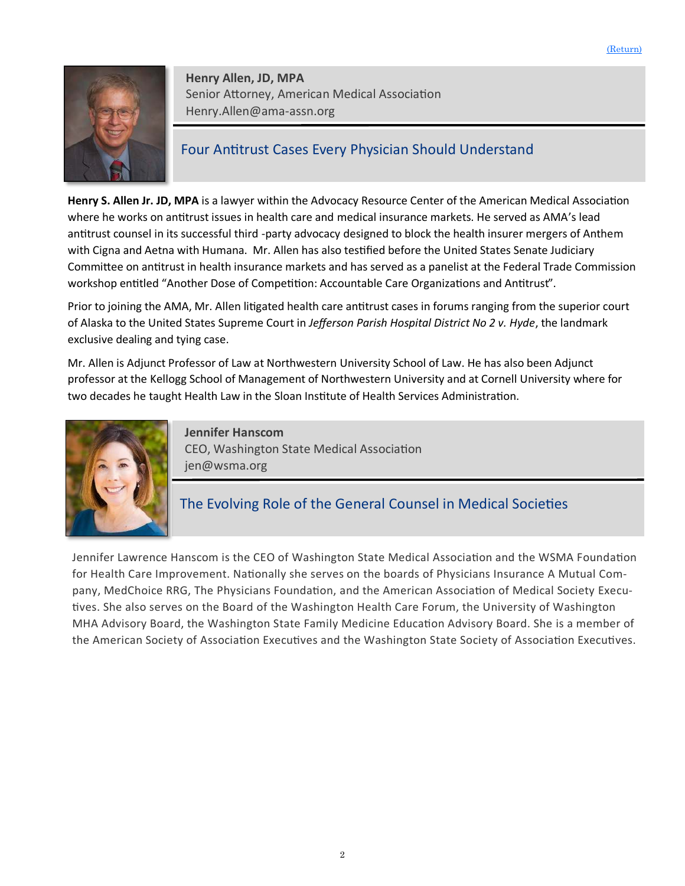<span id="page-1-0"></span>

**Henry Allen, JD, MPA**  Senior Attorney, American Medical Association Henry.Allen@ama-assn.org

# Four Antitrust Cases Every Physician Should Understand

**Henry S. Allen Jr. JD, MPA** is a lawyer within the Advocacy Resource Center of the American Medical Association where he works on antitrust issues in health care and medical insurance markets. He served as AMA's lead antitrust counsel in its successful third -party advocacy designed to block the health insurer mergers of Anthem with Cigna and Aetna with Humana. Mr. Allen has also testified before the United States Senate Judiciary Committee on antitrust in health insurance markets and has served as a panelist at the Federal Trade Commission workshop entitled "Another Dose of Competition: Accountable Care Organizations and Antitrust".

Prior to joining the AMA, Mr. Allen litigated health care antitrust cases in forums ranging from the superior court of Alaska to the United States Supreme Court in *Jefferson Parish Hospital District No 2 v. Hyde*, the landmark exclusive dealing and tying case.

Mr. Allen is Adjunct Professor of Law at Northwestern University School of Law. He has also been Adjunct professor at the Kellogg School of Management of Northwestern University and at Cornell University where for two decades he taught Health Law in the Sloan Institute of Health Services Administration.



**Jennifer Hanscom** CEO, Washington State Medical Association jen@wsma.org

# The Evolving Role of the General Counsel in Medical Societies

Jennifer Lawrence Hanscom is the CEO of Washington State Medical Association and the WSMA Foundation for Health Care Improvement. Nationally she serves on the boards of Physicians Insurance A Mutual Company, MedChoice RRG, The Physicians Foundation, and the American Association of Medical Society Executives. She also serves on the Board of the Washington Health Care Forum, the University of Washington MHA Advisory Board, the Washington State Family Medicine Education Advisory Board. She is a member of the American Society of Association Executives and the Washington State Society of Association Executives.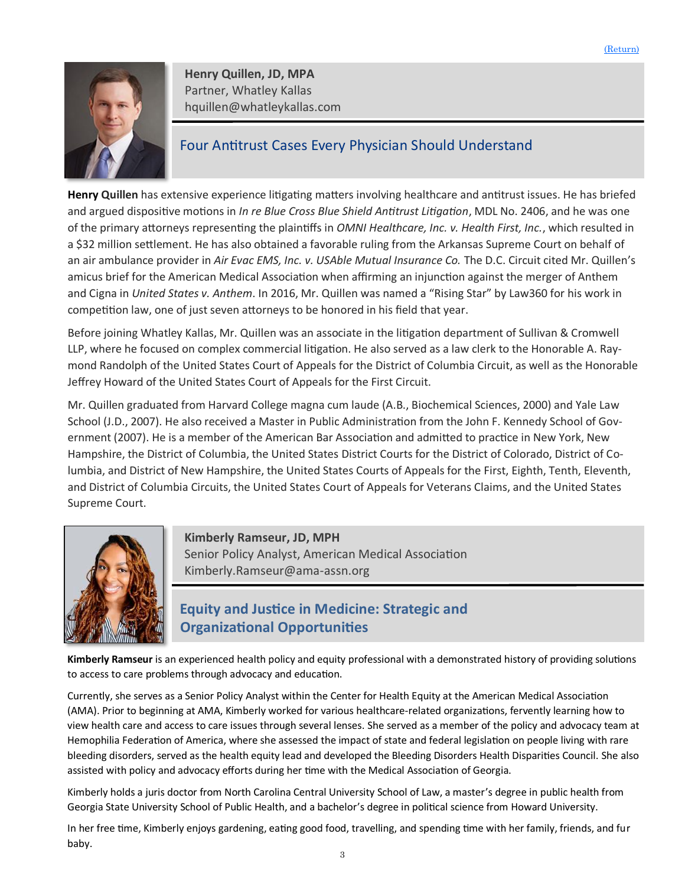<span id="page-2-0"></span>

**Henry Quillen, JD, MPA**  Partner, Whatley Kallas hquillen@whatleykallas.com

### Four Antitrust Cases Every Physician Should Understand

**Henry Quillen** has extensive experience litigating matters involving healthcare and antitrust issues. He has briefed and argued dispositive motions in *In re Blue Cross Blue Shield Antitrust Litigation*, MDL No. 2406, and he was one of the primary attorneys representing the plaintiffs in *OMNI Healthcare, Inc. v. Health First, Inc.*, which resulted in a \$32 million settlement. He has also obtained a favorable ruling from the Arkansas Supreme Court on behalf of an air ambulance provider in *Air Evac EMS, Inc. v. USAble Mutual Insurance Co.* The D.C. Circuit cited Mr. Quillen's amicus brief for the American Medical Association when affirming an injunction against the merger of Anthem and Cigna in *United States v. Anthem*. In 2016, Mr. Quillen was named a "Rising Star" by Law360 for his work in competition law, one of just seven attorneys to be honored in his field that year.

Before joining Whatley Kallas, Mr. Quillen was an associate in the litigation department of Sullivan & Cromwell LLP, where he focused on complex commercial litigation. He also served as a law clerk to the Honorable A. Raymond Randolph of the United States Court of Appeals for the District of Columbia Circuit, as well as the Honorable Jeffrey Howard of the United States Court of Appeals for the First Circuit.

Mr. Quillen graduated from Harvard College magna cum laude (A.B., Biochemical Sciences, 2000) and Yale Law School (J.D., 2007). He also received a Master in Public Administration from the John F. Kennedy School of Government (2007). He is a member of the American Bar Association and admitted to practice in New York, New Hampshire, the District of Columbia, the United States District Courts for the District of Colorado, District of Columbia, and District of New Hampshire, the United States Courts of Appeals for the First, Eighth, Tenth, Eleventh, and District of Columbia Circuits, the United States Court of Appeals for Veterans Claims, and the United States Supreme Court.



**Kimberly Ramseur, JD, MPH**  Senior Policy Analyst, American Medical Association Kimberly.Ramseur@ama-assn.org

# **Equity and Justice in Medicine: Strategic and Organizational Opportunities**

**Kimberly Ramseur** is an experienced health policy and equity professional with a demonstrated history of providing solutions to access to care problems through advocacy and education.

Currently, she serves as a Senior Policy Analyst within the Center for Health Equity at the American Medical Association (AMA). Prior to beginning at AMA, Kimberly worked for various healthcare-related organizations, fervently learning how to view health care and access to care issues through several lenses. She served as a member of the policy and advocacy team at Hemophilia Federation of America, where she assessed the impact of state and federal legislation on people living with rare bleeding disorders, served as the health equity lead and developed the Bleeding Disorders Health Disparities Council. She also assisted with policy and advocacy efforts during her time with the Medical Association of Georgia.

Kimberly holds a juris doctor from North Carolina Central University School of Law, a master's degree in public health from Georgia State University School of Public Health, and a bachelor's degree in political science from Howard University.

In her free time, Kimberly enjoys gardening, eating good food, travelling, and spending time with her family, friends, and fur baby.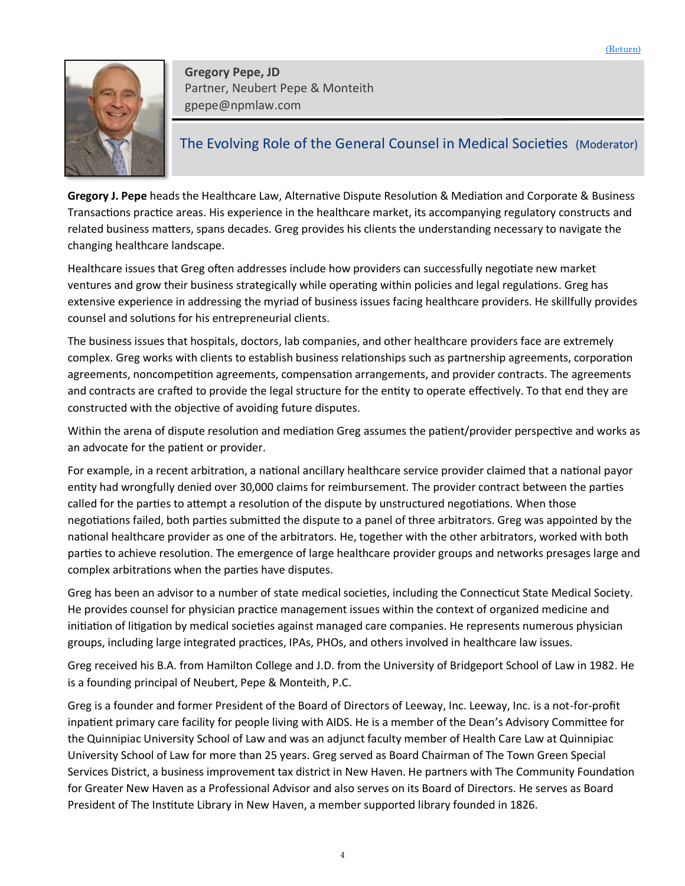<span id="page-3-0"></span>

**Gregory Pepe, JD**  Partner, Neubert Pepe & Monteith gpepe@npmlaw.com

### The Evolving Role of the General Counsel in Medical Societies (Moderator)

**Gregory J. Pepe** heads the Healthcare Law, Alternative Dispute Resolution & Mediation and Corporate & Business Transactions practice areas. His experience in the healthcare market, its accompanying regulatory constructs and related business matters, spans decades. Greg provides his clients the understanding necessary to navigate the changing healthcare landscape.

Healthcare issues that Greg often addresses include how providers can successfully negotiate new market ventures and grow their business strategically while operating within policies and legal regulations. Greg has extensive experience in addressing the myriad of business issues facing healthcare providers. He skillfully provides counsel and solutions for his entrepreneurial clients.

The business issues that hospitals, doctors, lab companies, and other healthcare providers face are extremely complex. Greg works with clients to establish business relationships such as partnership agreements, corporation agreements, noncompetition agreements, compensation arrangements, and provider contracts. The agreements and contracts are crafted to provide the legal structure for the entity to operate effectively. To that end they are constructed with the objective of avoiding future disputes.

Within the arena of dispute resolution and mediation Greg assumes the patient/provider perspective and works as an advocate for the patient or provider.

For example, in a recent arbitration, a national ancillary healthcare service provider claimed that a national payor entity had wrongfully denied over 30,000 claims for reimbursement. The provider contract between the parties called for the parties to attempt a resolution of the dispute by unstructured negotiations. When those negotiations failed, both parties submitted the dispute to a panel of three arbitrators. Greg was appointed by the national healthcare provider as one of the arbitrators. He, together with the other arbitrators, worked with both parties to achieve resolution. The emergence of large healthcare provider groups and networks presages large and complex arbitrations when the parties have disputes.

Greg has been an advisor to a number of state medical societies, including the Connecticut State Medical Society. He provides counsel for physician practice management issues within the context of organized medicine and initiation of litigation by medical societies against managed care companies. He represents numerous physician groups, including large integrated practices, IPAs, PHOs, and others involved in healthcare law issues.

Greg received his B.A. from Hamilton College and J.D. from the University of Bridgeport School of Law in 1982. He is a founding principal of Neubert, Pepe & Monteith, P.C.

Greg is a founder and former President of the Board of Directors of Leeway, Inc. Leeway, Inc. is a not-for-profit inpatient primary care facility for people living with AIDS. He is a member of the Dean's Advisory Committee for the Quinnipiac University School of Law and was an adjunct faculty member of Health Care Law at Quinnipiac University School of Law for more than 25 years. Greg served as Board Chairman of The Town Green Special Services District, a business improvement tax district in New Haven. He partners with The Community Foundation for Greater New Haven as a Professional Advisor and also serves on its Board of Directors. He serves as Board President of The Institute Library in New Haven, a member supported library founded in 1826.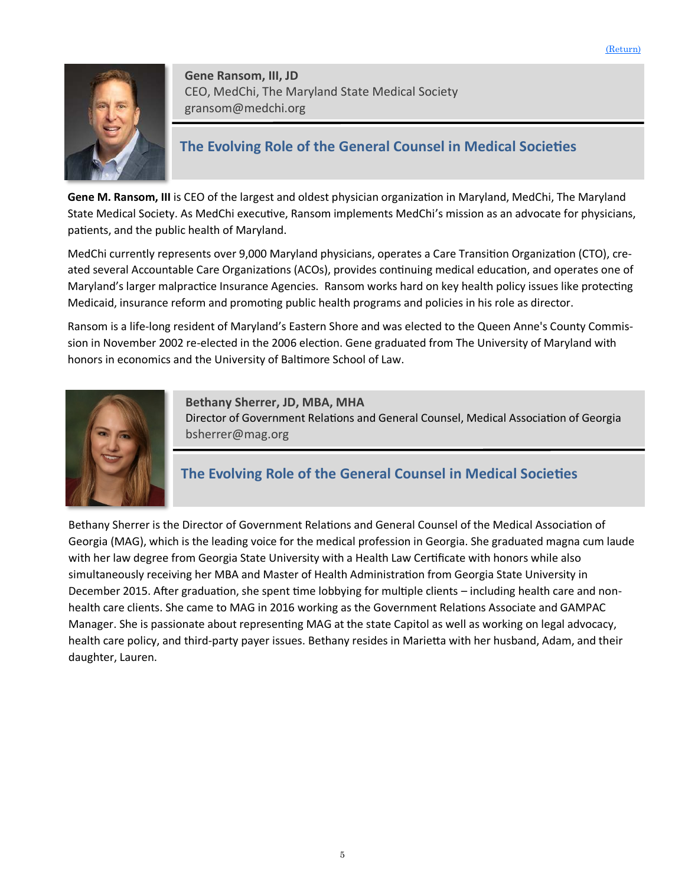<span id="page-4-0"></span>

**Gene Ransom, III, JD**  CEO, MedChi, The Maryland State Medical Society gransom@medchi.org

# **The Evolving Role of the General Counsel in Medical Societies**

**Gene M. Ransom, III** is CEO of the largest and oldest physician organization in Maryland, MedChi, The Maryland State Medical Society. As MedChi executive, Ransom implements MedChi's mission as an advocate for physicians, patients, and the public health of Maryland.

MedChi currently represents over 9,000 Maryland physicians, operates a Care Transition Organization (CTO), created several Accountable Care Organizations (ACOs), provides continuing medical education, and operates one of Maryland's larger malpractice Insurance Agencies. Ransom works hard on key health policy issues like protecting Medicaid, insurance reform and promoting public health programs and policies in his role as director.

Ransom is a life-long resident of Maryland's Eastern Shore and was elected to the Queen Anne's County Commission in November 2002 re-elected in the 2006 election. Gene graduated from The University of Maryland with honors in economics and the University of Baltimore School of Law.



**Bethany Sherrer, JD, MBA, MHA** Director of Government Relations and General Counsel, Medical Association of Georgia bsherrer@mag.org

# **The Evolving Role of the General Counsel in Medical Societies**

Bethany Sherrer is the Director of Government Relations and General Counsel of the Medical Association of Georgia (MAG), which is the leading voice for the medical profession in Georgia. She graduated magna cum laude with her law degree from Georgia State University with a Health Law Certificate with honors while also simultaneously receiving her MBA and Master of Health Administration from Georgia State University in December 2015. After graduation, she spent time lobbying for multiple clients – including health care and nonhealth care clients. She came to MAG in 2016 working as the Government Relations Associate and GAMPAC Manager. She is passionate about representing MAG at the state Capitol as well as working on legal advocacy, health care policy, and third-party payer issues. Bethany resides in Marietta with her husband, Adam, and their daughter, Lauren.